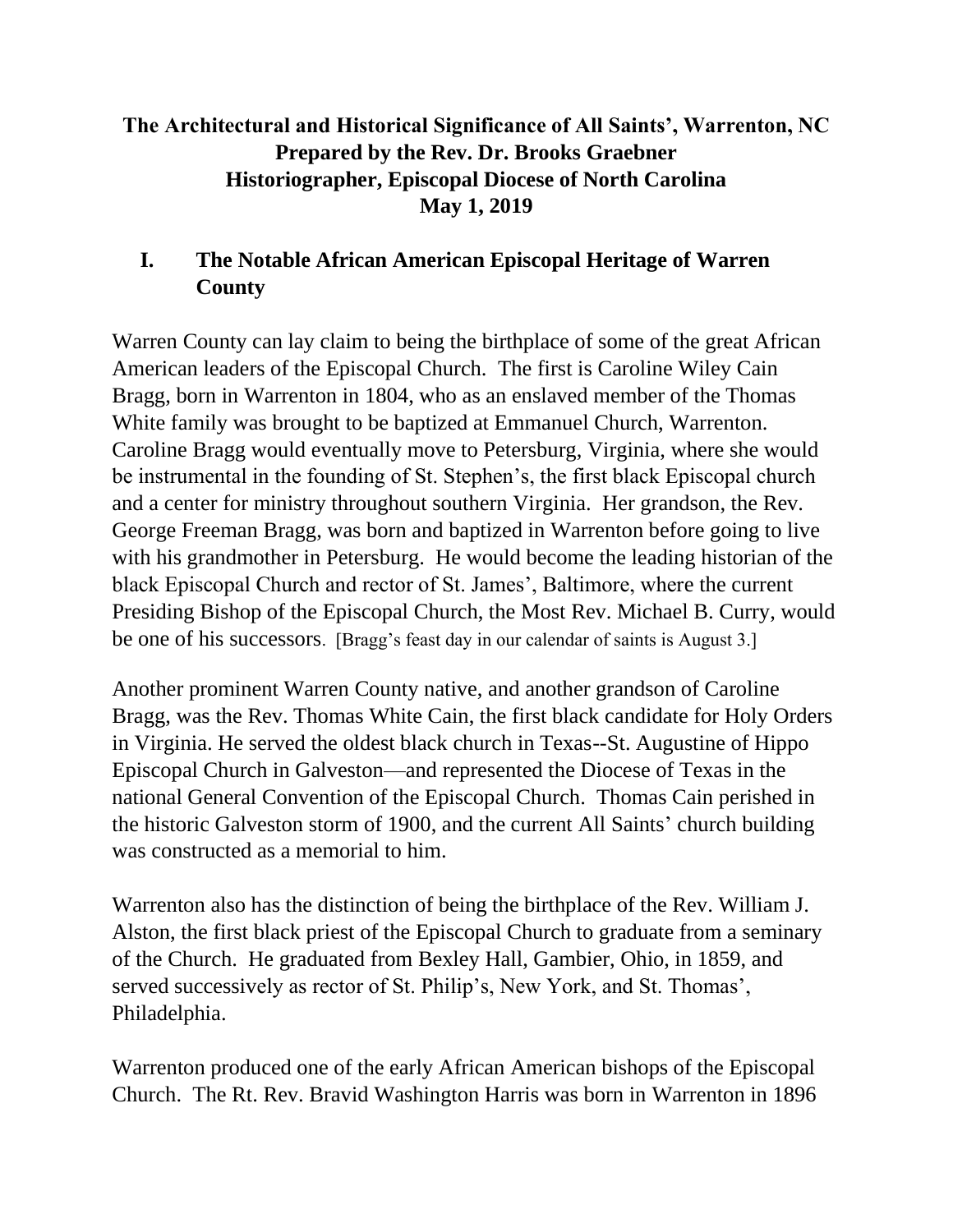# **The Architectural and Historical Significance of All Saints', Warrenton, NC Prepared by the Rev. Dr. Brooks Graebner Historiographer, Episcopal Diocese of North Carolina May 1, 2019**

# **I. The Notable African American Episcopal Heritage of Warren County**

Warren County can lay claim to being the birthplace of some of the great African American leaders of the Episcopal Church.The first is Caroline Wiley Cain Bragg, born in Warrenton in 1804, who as an enslaved member of the Thomas White family was brought to be baptized at Emmanuel Church, Warrenton. Caroline Bragg would eventually move to Petersburg, Virginia, where she would be instrumental in the founding of St. Stephen's, the first black Episcopal church and a center for ministry throughout southern Virginia. Her grandson, the Rev. George Freeman Bragg, was born and baptized in Warrenton before going to live with his grandmother in Petersburg. He would become the leading historian of the black Episcopal Church and rector of St. James', Baltimore, where the current Presiding Bishop of the Episcopal Church, the Most Rev. Michael B. Curry, would be one of his successors. [Bragg's feast day in our calendar of saints is August 3.]

Another prominent Warren County native, and another grandson of Caroline Bragg, was the Rev. Thomas White Cain, the first black candidate for Holy Orders in Virginia. He served the oldest black church in Texas--St. Augustine of Hippo Episcopal Church in Galveston—and represented the Diocese of Texas in the national General Convention of the Episcopal Church. Thomas Cain perished in the historic Galveston storm of 1900, and the current All Saints' church building was constructed as a memorial to him.

Warrenton also has the distinction of being the birthplace of the Rev. William J. Alston, the first black priest of the Episcopal Church to graduate from a seminary of the Church. He graduated from Bexley Hall, Gambier, Ohio, in 1859, and served successively as rector of St. Philip's, New York, and St. Thomas', Philadelphia.

Warrenton produced one of the early African American bishops of the Episcopal Church. The Rt. Rev. Bravid Washington Harris was born in Warrenton in 1896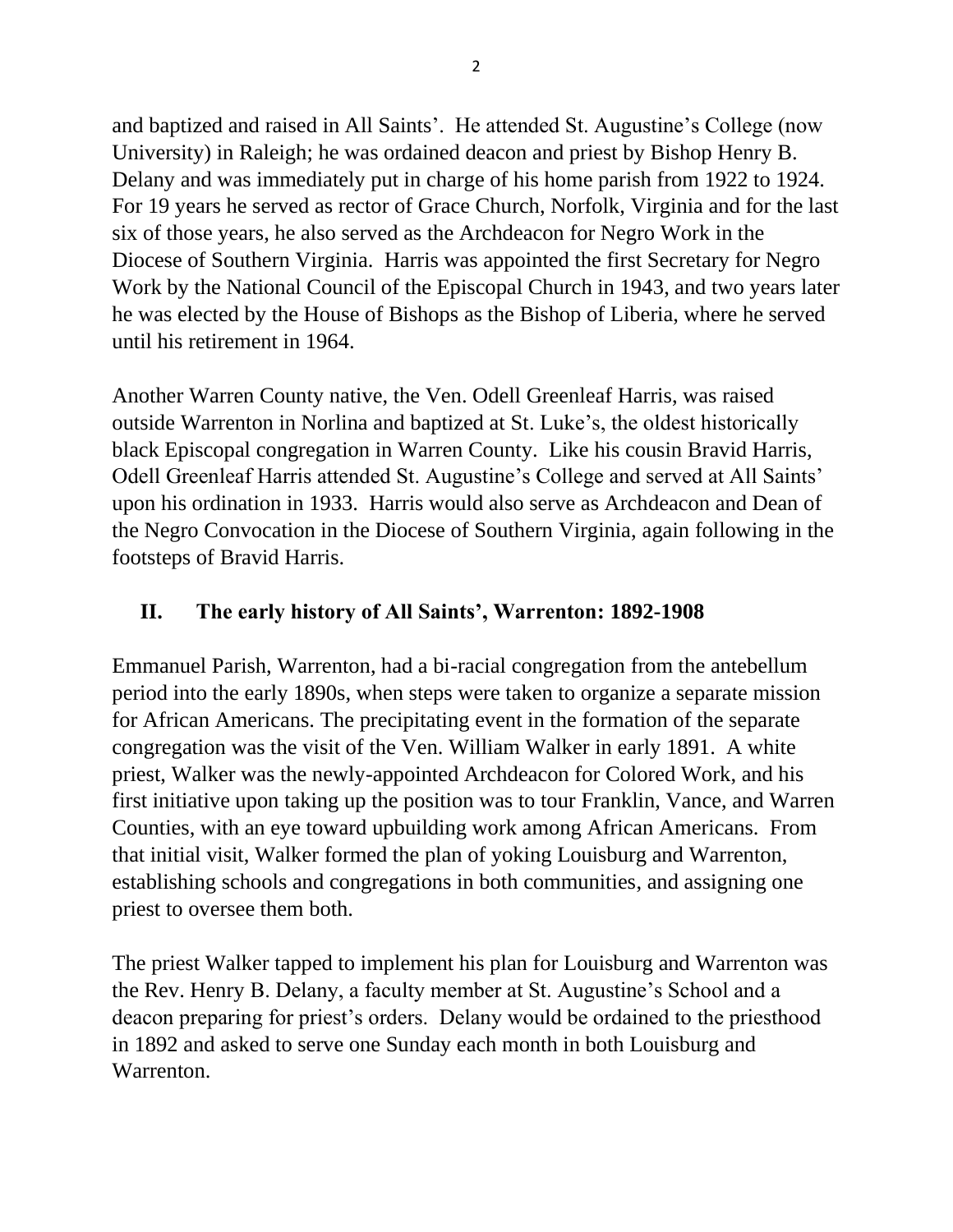and baptized and raised in All Saints'. He attended St. Augustine's College (now University) in Raleigh; he was ordained deacon and priest by Bishop Henry B. Delany and was immediately put in charge of his home parish from 1922 to 1924. For 19 years he served as rector of Grace Church, Norfolk, Virginia and for the last six of those years, he also served as the Archdeacon for Negro Work in the Diocese of Southern Virginia. Harris was appointed the first Secretary for Negro Work by the National Council of the Episcopal Church in 1943, and two years later he was elected by the House of Bishops as the Bishop of Liberia, where he served until his retirement in 1964.

Another Warren County native, the Ven. Odell Greenleaf Harris, was raised outside Warrenton in Norlina and baptized at St. Luke's, the oldest historically black Episcopal congregation in Warren County. Like his cousin Bravid Harris, Odell Greenleaf Harris attended St. Augustine's College and served at All Saints' upon his ordination in 1933. Harris would also serve as Archdeacon and Dean of the Negro Convocation in the Diocese of Southern Virginia, again following in the footsteps of Bravid Harris.

## **II. The early history of All Saints', Warrenton: 1892-1908**

Emmanuel Parish, Warrenton, had a bi-racial congregation from the antebellum period into the early 1890s, when steps were taken to organize a separate mission for African Americans. The precipitating event in the formation of the separate congregation was the visit of the Ven. William Walker in early 1891. A white priest, Walker was the newly-appointed Archdeacon for Colored Work, and his first initiative upon taking up the position was to tour Franklin, Vance, and Warren Counties, with an eye toward upbuilding work among African Americans. From that initial visit, Walker formed the plan of yoking Louisburg and Warrenton, establishing schools and congregations in both communities, and assigning one priest to oversee them both.

The priest Walker tapped to implement his plan for Louisburg and Warrenton was the Rev. Henry B. Delany, a faculty member at St. Augustine's School and a deacon preparing for priest's orders. Delany would be ordained to the priesthood in 1892 and asked to serve one Sunday each month in both Louisburg and Warrenton.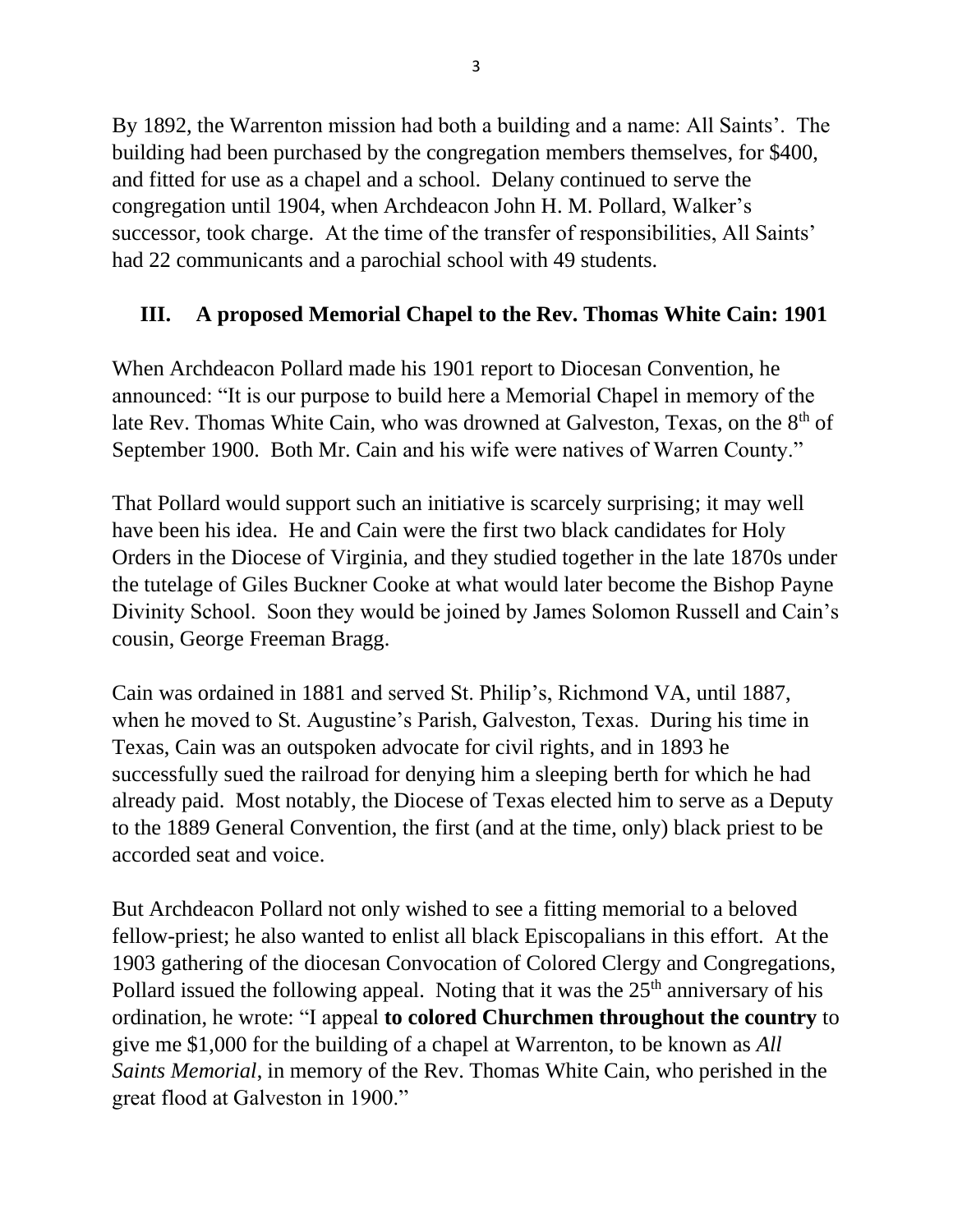By 1892, the Warrenton mission had both a building and a name: All Saints'. The building had been purchased by the congregation members themselves, for \$400, and fitted for use as a chapel and a school. Delany continued to serve the congregation until 1904, when Archdeacon John H. M. Pollard, Walker's successor, took charge. At the time of the transfer of responsibilities, All Saints' had 22 communicants and a parochial school with 49 students.

## **III. A proposed Memorial Chapel to the Rev. Thomas White Cain: 1901**

When Archdeacon Pollard made his 1901 report to Diocesan Convention, he announced: "It is our purpose to build here a Memorial Chapel in memory of the late Rev. Thomas White Cain, who was drowned at Galveston, Texas, on the  $8<sup>th</sup>$  of September 1900. Both Mr. Cain and his wife were natives of Warren County."

That Pollard would support such an initiative is scarcely surprising; it may well have been his idea. He and Cain were the first two black candidates for Holy Orders in the Diocese of Virginia, and they studied together in the late 1870s under the tutelage of Giles Buckner Cooke at what would later become the Bishop Payne Divinity School. Soon they would be joined by James Solomon Russell and Cain's cousin, George Freeman Bragg.

Cain was ordained in 1881 and served St. Philip's, Richmond VA, until 1887, when he moved to St. Augustine's Parish, Galveston, Texas. During his time in Texas, Cain was an outspoken advocate for civil rights, and in 1893 he successfully sued the railroad for denying him a sleeping berth for which he had already paid. Most notably, the Diocese of Texas elected him to serve as a Deputy to the 1889 General Convention, the first (and at the time, only) black priest to be accorded seat and voice.

But Archdeacon Pollard not only wished to see a fitting memorial to a beloved fellow-priest; he also wanted to enlist all black Episcopalians in this effort. At the 1903 gathering of the diocesan Convocation of Colored Clergy and Congregations, Pollard issued the following appeal. Noting that it was the  $25<sup>th</sup>$  anniversary of his ordination, he wrote: "I appeal **to colored Churchmen throughout the country** to give me \$1,000 for the building of a chapel at Warrenton, to be known as *All Saints Memorial*, in memory of the Rev. Thomas White Cain, who perished in the great flood at Galveston in 1900."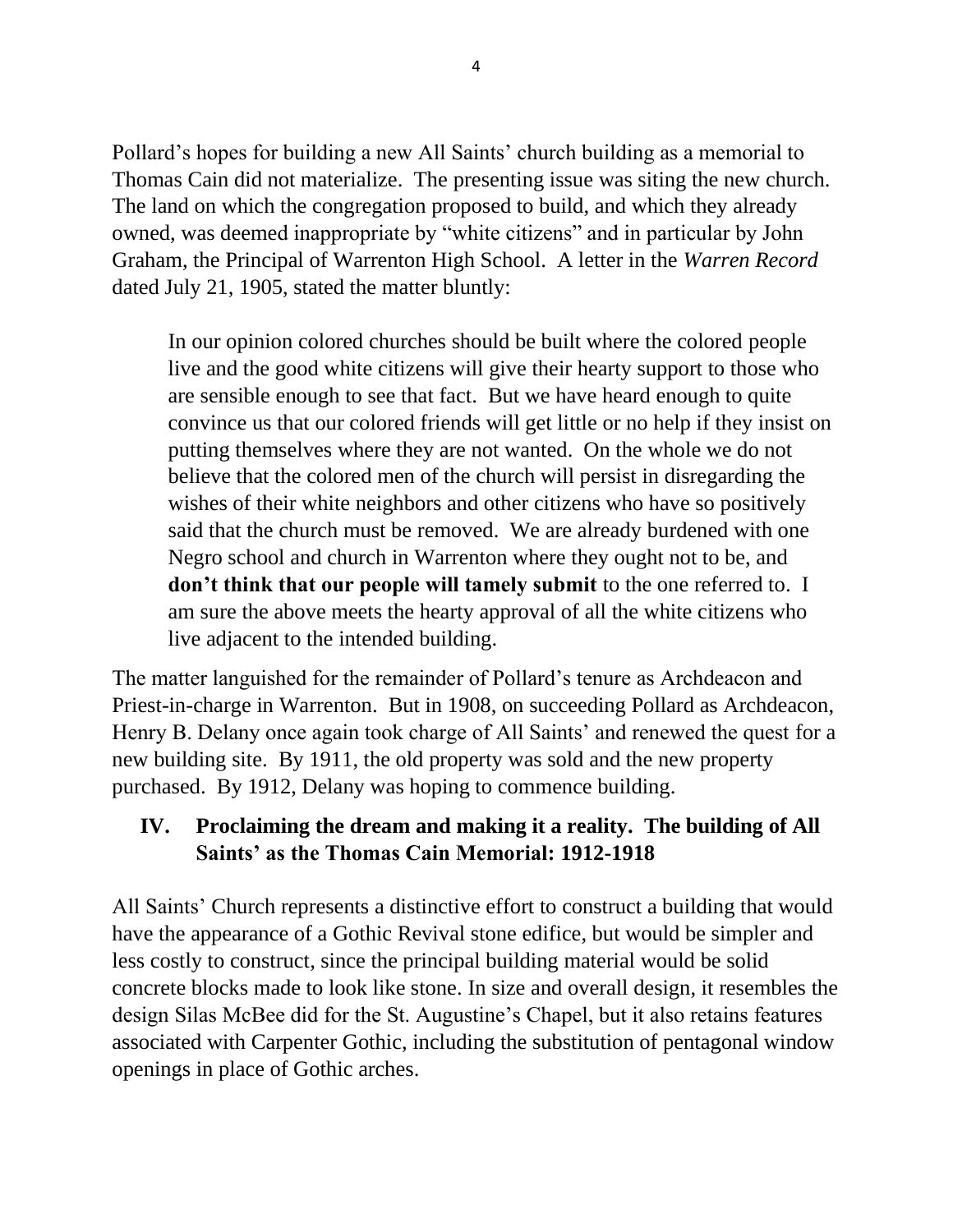Pollard's hopes for building a new All Saints' church building as a memorial to Thomas Cain did not materialize. The presenting issue was siting the new church. The land on which the congregation proposed to build, and which they already owned, was deemed inappropriate by "white citizens" and in particular by John Graham, the Principal of Warrenton High School. A letter in the *Warren Record* dated July 21, 1905, stated the matter bluntly:

In our opinion colored churches should be built where the colored people live and the good white citizens will give their hearty support to those who are sensible enough to see that fact. But we have heard enough to quite convince us that our colored friends will get little or no help if they insist on putting themselves where they are not wanted. On the whole we do not believe that the colored men of the church will persist in disregarding the wishes of their white neighbors and other citizens who have so positively said that the church must be removed. We are already burdened with one Negro school and church in Warrenton where they ought not to be, and **don't think that our people will tamely submit** to the one referred to. I am sure the above meets the hearty approval of all the white citizens who live adjacent to the intended building.

The matter languished for the remainder of Pollard's tenure as Archdeacon and Priest-in-charge in Warrenton. But in 1908, on succeeding Pollard as Archdeacon, Henry B. Delany once again took charge of All Saints' and renewed the quest for a new building site. By 1911, the old property was sold and the new property purchased. By 1912, Delany was hoping to commence building.

### **IV. Proclaiming the dream and making it a reality. The building of All Saints' as the Thomas Cain Memorial: 1912-1918**

All Saints' Church represents a distinctive effort to construct a building that would have the appearance of a Gothic Revival stone edifice, but would be simpler and less costly to construct, since the principal building material would be solid concrete blocks made to look like stone. In size and overall design, it resembles the design Silas McBee did for the St. Augustine's Chapel, but it also retains features associated with Carpenter Gothic, including the substitution of pentagonal window openings in place of Gothic arches.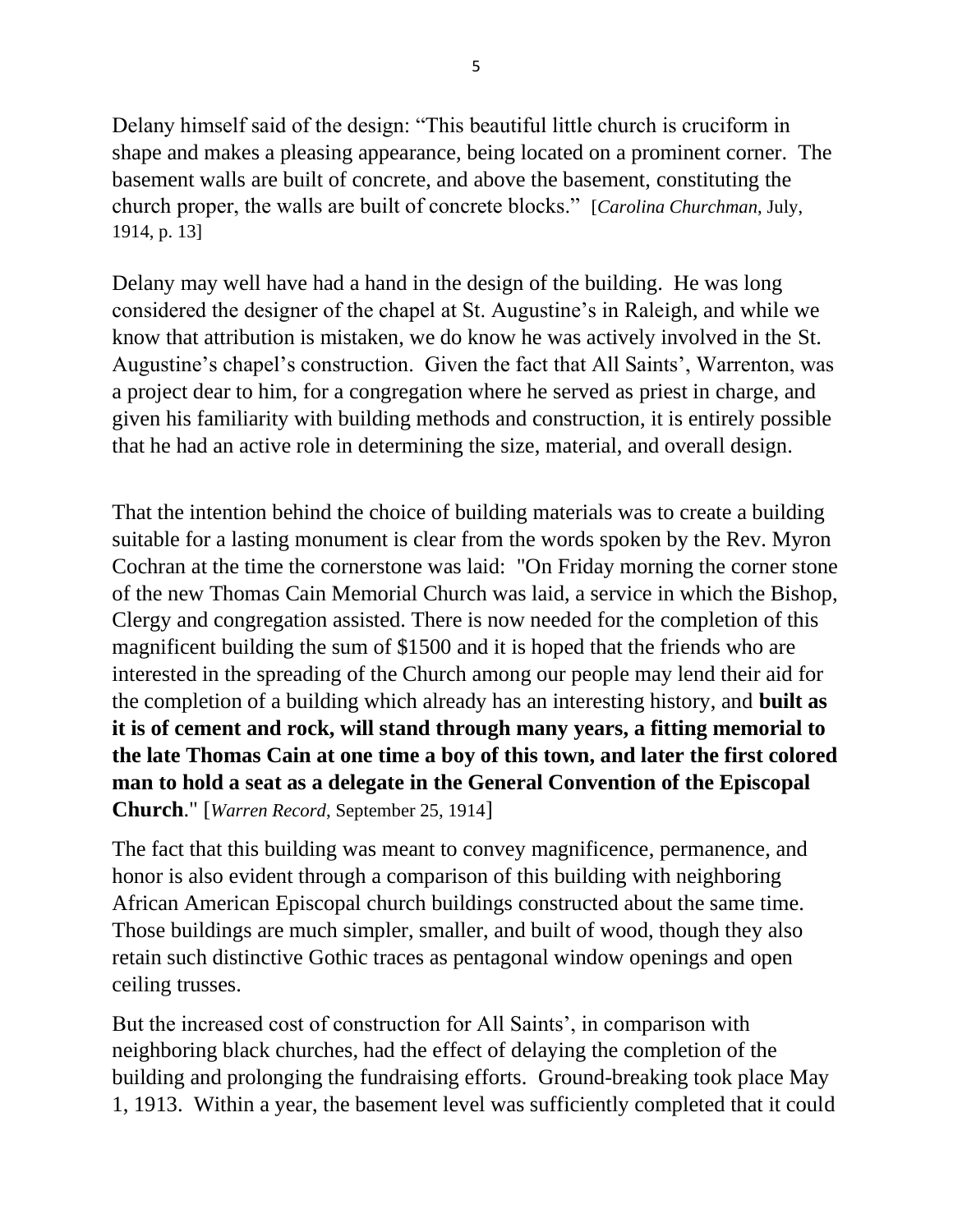Delany himself said of the design: "This beautiful little church is cruciform in shape and makes a pleasing appearance, being located on a prominent corner. The basement walls are built of concrete, and above the basement, constituting the church proper, the walls are built of concrete blocks." [*Carolina Churchman*, July, 1914, p. 13]

Delany may well have had a hand in the design of the building. He was long considered the designer of the chapel at St. Augustine's in Raleigh, and while we know that attribution is mistaken, we do know he was actively involved in the St. Augustine's chapel's construction. Given the fact that All Saints', Warrenton, was a project dear to him, for a congregation where he served as priest in charge, and given his familiarity with building methods and construction, it is entirely possible that he had an active role in determining the size, material, and overall design.

That the intention behind the choice of building materials was to create a building suitable for a lasting monument is clear from the words spoken by the Rev. Myron Cochran at the time the cornerstone was laid: "On Friday morning the corner stone of the new Thomas Cain Memorial Church was laid, a service in which the Bishop, Clergy and congregation assisted. There is now needed for the completion of this magnificent building the sum of \$1500 and it is hoped that the friends who are interested in the spreading of the Church among our people may lend their aid for the completion of a building which already has an interesting history, and **built as it is of cement and rock, will stand through many years, a fitting memorial to the late Thomas Cain at one time a boy of this town, and later the first colored man to hold a seat as a delegate in the General Convention of the Episcopal Church**." [*Warren Record*, September 25, 1914]

The fact that this building was meant to convey magnificence, permanence, and honor is also evident through a comparison of this building with neighboring African American Episcopal church buildings constructed about the same time. Those buildings are much simpler, smaller, and built of wood, though they also retain such distinctive Gothic traces as pentagonal window openings and open ceiling trusses.

But the increased cost of construction for All Saints', in comparison with neighboring black churches, had the effect of delaying the completion of the building and prolonging the fundraising efforts. Ground-breaking took place May 1, 1913. Within a year, the basement level was sufficiently completed that it could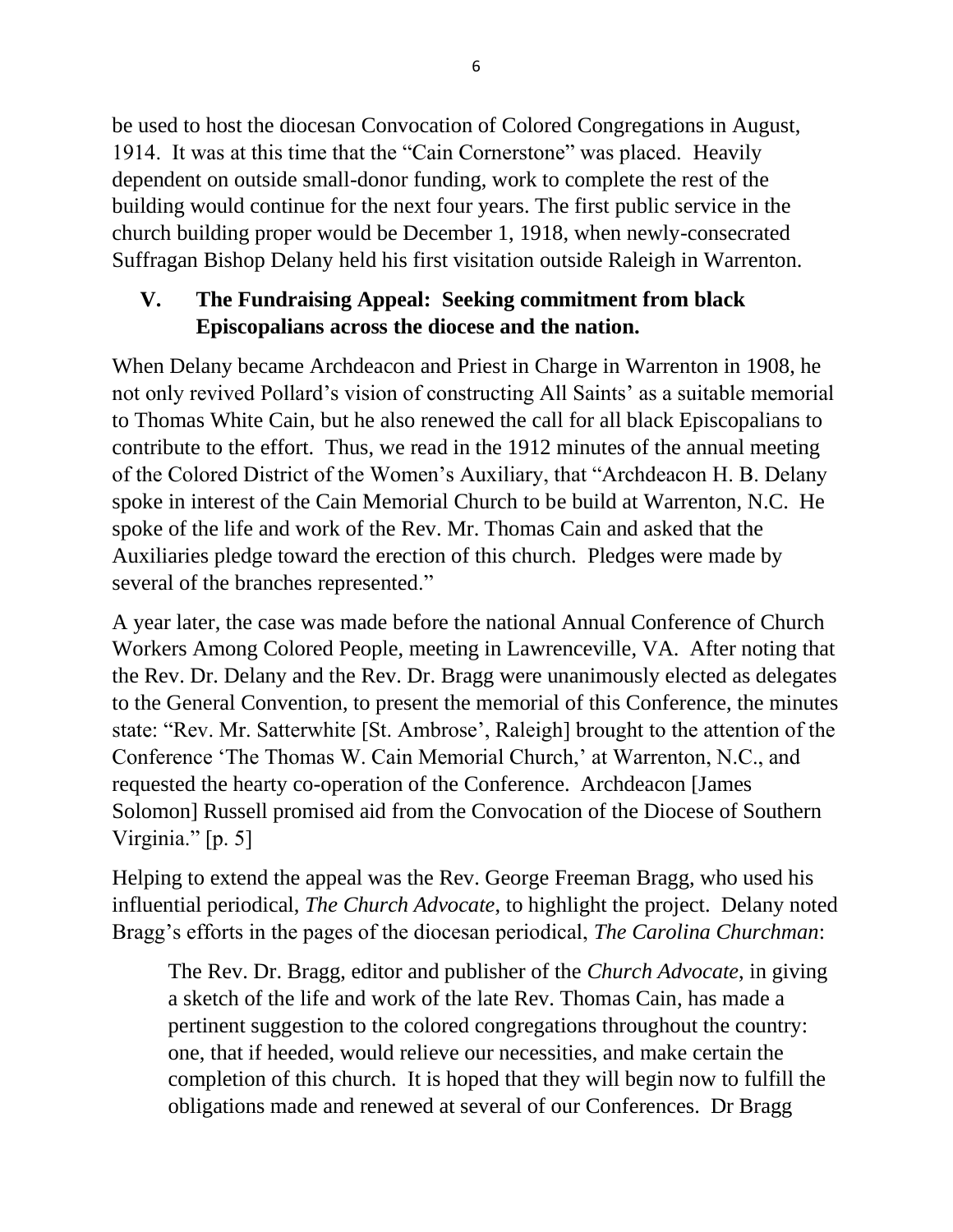be used to host the diocesan Convocation of Colored Congregations in August, 1914. It was at this time that the "Cain Cornerstone" was placed. Heavily dependent on outside small-donor funding, work to complete the rest of the building would continue for the next four years. The first public service in the church building proper would be December 1, 1918, when newly-consecrated Suffragan Bishop Delany held his first visitation outside Raleigh in Warrenton.

### **V. The Fundraising Appeal: Seeking commitment from black Episcopalians across the diocese and the nation.**

When Delany became Archdeacon and Priest in Charge in Warrenton in 1908, he not only revived Pollard's vision of constructing All Saints' as a suitable memorial to Thomas White Cain, but he also renewed the call for all black Episcopalians to contribute to the effort. Thus, we read in the 1912 minutes of the annual meeting of the Colored District of the Women's Auxiliary, that "Archdeacon H. B. Delany spoke in interest of the Cain Memorial Church to be build at Warrenton, N.C. He spoke of the life and work of the Rev. Mr. Thomas Cain and asked that the Auxiliaries pledge toward the erection of this church. Pledges were made by several of the branches represented."

A year later, the case was made before the national Annual Conference of Church Workers Among Colored People, meeting in Lawrenceville, VA. After noting that the Rev. Dr. Delany and the Rev. Dr. Bragg were unanimously elected as delegates to the General Convention, to present the memorial of this Conference, the minutes state: "Rev. Mr. Satterwhite [St. Ambrose', Raleigh] brought to the attention of the Conference 'The Thomas W. Cain Memorial Church,' at Warrenton, N.C., and requested the hearty co-operation of the Conference. Archdeacon [James Solomon] Russell promised aid from the Convocation of the Diocese of Southern Virginia." [p. 5]

Helping to extend the appeal was the Rev. George Freeman Bragg, who used his influential periodical, *The Church Advocate*, to highlight the project. Delany noted Bragg's efforts in the pages of the diocesan periodical, *The Carolina Churchman*:

The Rev. Dr. Bragg, editor and publisher of the *Church Advocate*, in giving a sketch of the life and work of the late Rev. Thomas Cain, has made a pertinent suggestion to the colored congregations throughout the country: one, that if heeded, would relieve our necessities, and make certain the completion of this church. It is hoped that they will begin now to fulfill the obligations made and renewed at several of our Conferences. Dr Bragg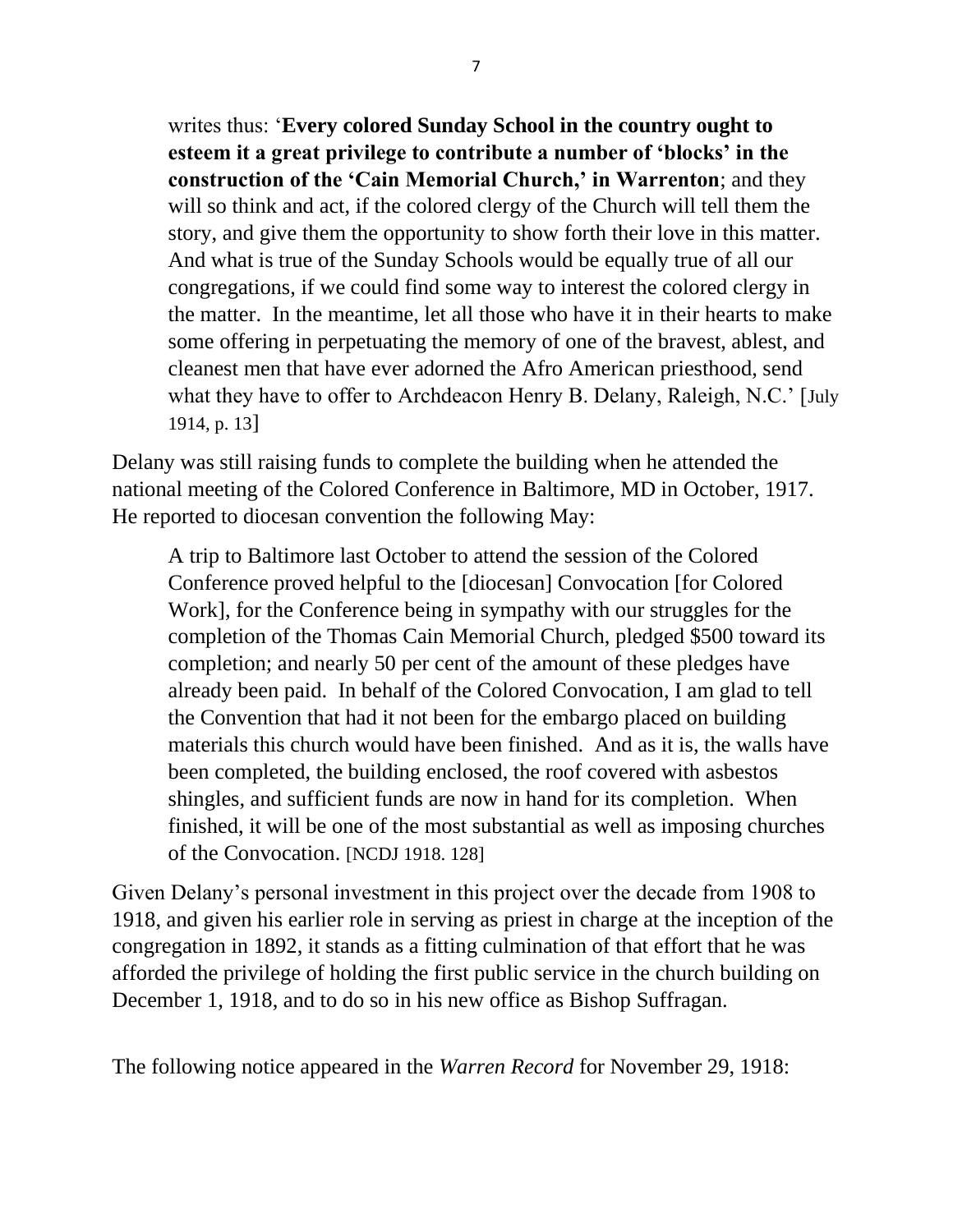writes thus: '**Every colored Sunday School in the country ought to esteem it a great privilege to contribute a number of 'blocks' in the construction of the 'Cain Memorial Church,' in Warrenton**; and they will so think and act, if the colored clergy of the Church will tell them the story, and give them the opportunity to show forth their love in this matter. And what is true of the Sunday Schools would be equally true of all our congregations, if we could find some way to interest the colored clergy in the matter. In the meantime, let all those who have it in their hearts to make some offering in perpetuating the memory of one of the bravest, ablest, and cleanest men that have ever adorned the Afro American priesthood, send what they have to offer to Archdeacon Henry B. Delany, Raleigh, N.C.' [July 1914, p. 13]

Delany was still raising funds to complete the building when he attended the national meeting of the Colored Conference in Baltimore, MD in October, 1917. He reported to diocesan convention the following May:

A trip to Baltimore last October to attend the session of the Colored Conference proved helpful to the [diocesan] Convocation [for Colored Work], for the Conference being in sympathy with our struggles for the completion of the Thomas Cain Memorial Church, pledged \$500 toward its completion; and nearly 50 per cent of the amount of these pledges have already been paid. In behalf of the Colored Convocation, I am glad to tell the Convention that had it not been for the embargo placed on building materials this church would have been finished. And as it is, the walls have been completed, the building enclosed, the roof covered with asbestos shingles, and sufficient funds are now in hand for its completion. When finished, it will be one of the most substantial as well as imposing churches of the Convocation. [NCDJ 1918. 128]

Given Delany's personal investment in this project over the decade from 1908 to 1918, and given his earlier role in serving as priest in charge at the inception of the congregation in 1892, it stands as a fitting culmination of that effort that he was afforded the privilege of holding the first public service in the church building on December 1, 1918, and to do so in his new office as Bishop Suffragan.

The following notice appeared in the *Warren Record* for November 29, 1918: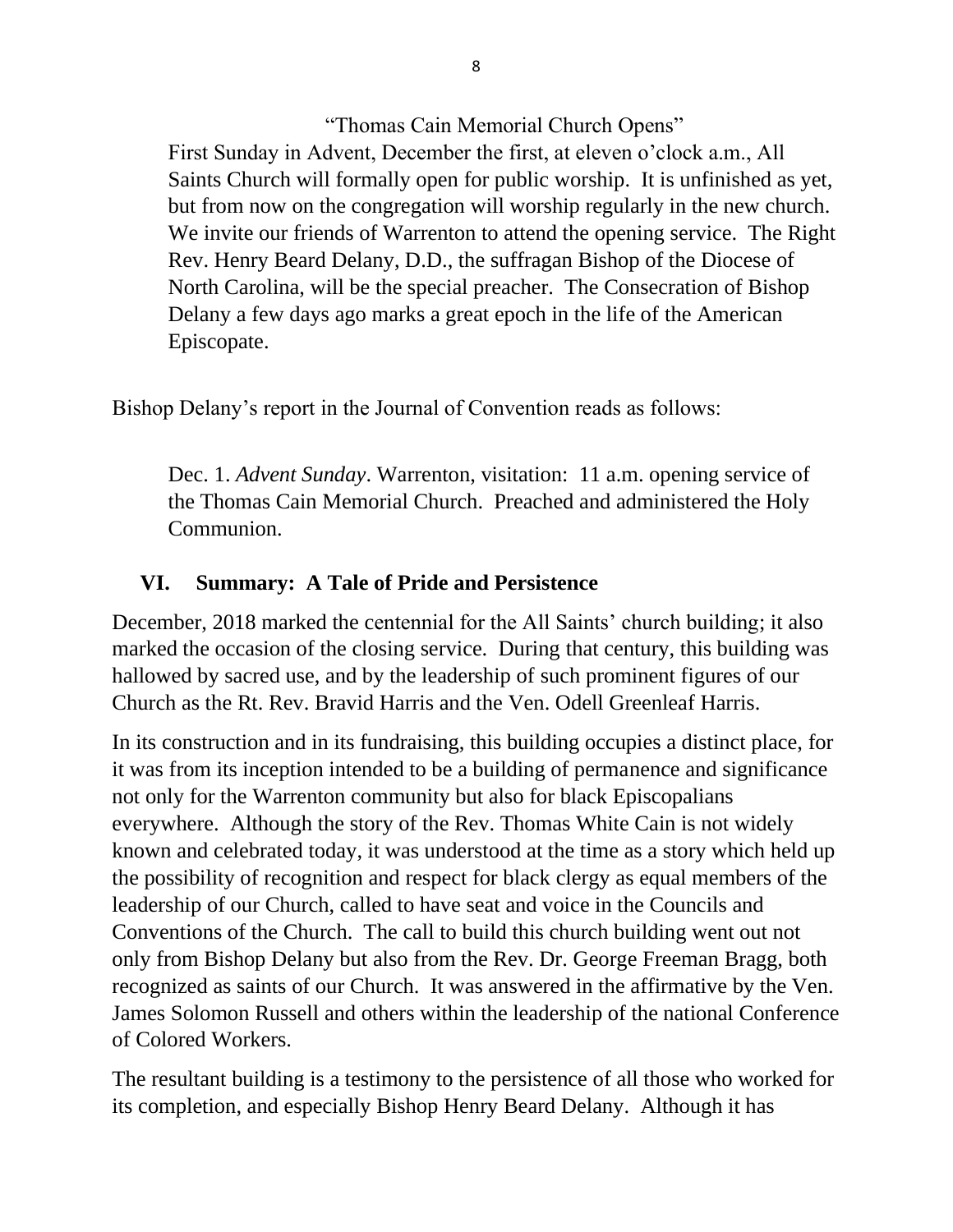"Thomas Cain Memorial Church Opens" First Sunday in Advent, December the first, at eleven o'clock a.m., All Saints Church will formally open for public worship. It is unfinished as yet, but from now on the congregation will worship regularly in the new church. We invite our friends of Warrenton to attend the opening service. The Right Rev. Henry Beard Delany, D.D., the suffragan Bishop of the Diocese of North Carolina, will be the special preacher. The Consecration of Bishop Delany a few days ago marks a great epoch in the life of the American Episcopate.

Bishop Delany's report in the Journal of Convention reads as follows:

Dec. 1. *Advent Sunday*. Warrenton, visitation: 11 a.m. opening service of the Thomas Cain Memorial Church. Preached and administered the Holy Communion.

#### **VI. Summary: A Tale of Pride and Persistence**

December, 2018 marked the centennial for the All Saints' church building; it also marked the occasion of the closing service. During that century, this building was hallowed by sacred use, and by the leadership of such prominent figures of our Church as the Rt. Rev. Bravid Harris and the Ven. Odell Greenleaf Harris.

In its construction and in its fundraising, this building occupies a distinct place, for it was from its inception intended to be a building of permanence and significance not only for the Warrenton community but also for black Episcopalians everywhere. Although the story of the Rev. Thomas White Cain is not widely known and celebrated today, it was understood at the time as a story which held up the possibility of recognition and respect for black clergy as equal members of the leadership of our Church, called to have seat and voice in the Councils and Conventions of the Church. The call to build this church building went out not only from Bishop Delany but also from the Rev. Dr. George Freeman Bragg, both recognized as saints of our Church. It was answered in the affirmative by the Ven. James Solomon Russell and others within the leadership of the national Conference of Colored Workers.

The resultant building is a testimony to the persistence of all those who worked for its completion, and especially Bishop Henry Beard Delany. Although it has